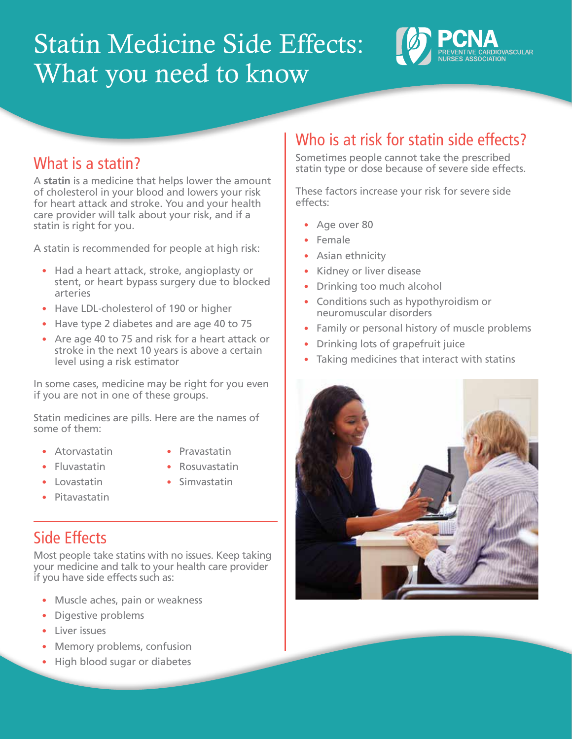# Statin Medicine Side Effects: What you need to know



## What is a statin?

A **statin** is a medicine that helps lower the amount of cholesterol in your blood and lowers your risk for heart attack and stroke. You and your health care provider will talk about your risk, and if a statin is right for you.

A statin is recommended for people at high risk:

- **•** Had a heart attack, stroke, angioplasty or stent, or heart bypass surgery due to blocked arteries
- **•** Have LDL-cholesterol of 190 or higher
- **•** Have type 2 diabetes and are age 40 to 75
- **•** Are age 40 to 75 and risk for a heart attack or stroke in the next 10 years is above a certain level using a risk estimator

In some cases, medicine may be right for you even if you are not in one of these groups.

Statin medicines are pills. Here are the names of some of them:

- **•** Atorvastatin
- **•** Pravastatin
- **•** Fluvastatin
- **•** Rosuvastatin
- **•** Lovastatin
- 
- **•** Pitavastatin
- **•** Simvastatin

## Side Effects

Most people take statins with no issues. Keep taking your medicine and talk to your health care provider if you have side effects such as:

- **•** Muscle aches, pain or weakness
- **•** Digestive problems
- **•** Liver issues
- **•** Memory problems, confusion
- **•** High blood sugar or diabetes

## Who is at risk for statin side effects?

Sometimes people cannot take the prescribed statin type or dose because of severe side effects.

These factors increase your risk for severe side effects:

- **•** Age over 80
- **•** Female
- **•** Asian ethnicity
- **•** Kidney or liver disease
- **•** Drinking too much alcohol
- **•** Conditions such as hypothyroidism or neuromuscular disorders
- **•** Family or personal history of muscle problems
- **•** Drinking lots of grapefruit juice
- **•** Taking medicines that interact with statins